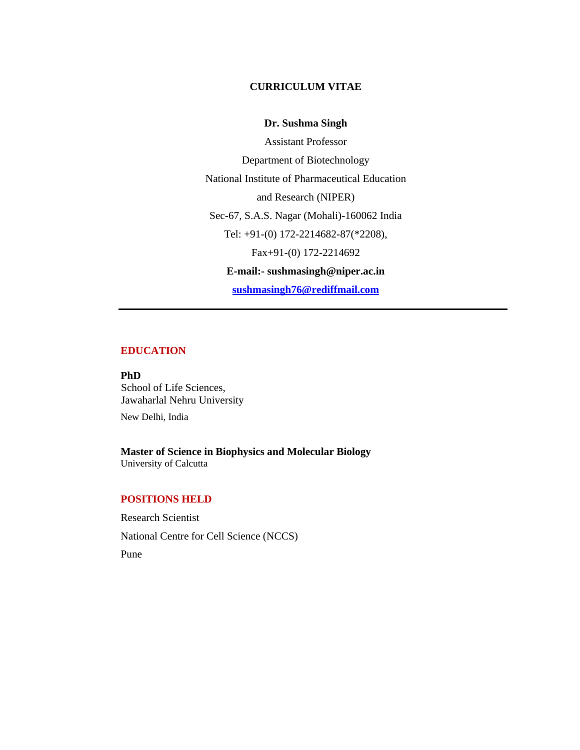### **CURRICULUM VITAE**

### **Dr. Sushma Singh**

Assistant Professor Department of Biotechnology National Institute of Pharmaceutical Education and Research (NIPER) Sec-67, S.A.S. Nagar (Mohali)-160062 India Tel: +91-(0) 172-2214682-87(\*2208), Fax+91-(0) 172-2214692 **E-mail:- sushmasingh@niper.ac.in sushmasingh76@rediffmail.com**

### **EDUCATION**

**PhD**  School of Life Sciences, Jawaharlal Nehru University

New Delhi, India

**Master of Science in Biophysics and Molecular Biology**  University of Calcutta

# **POSITIONS HELD**

Research Scientist National Centre for Cell Science (NCCS) Pune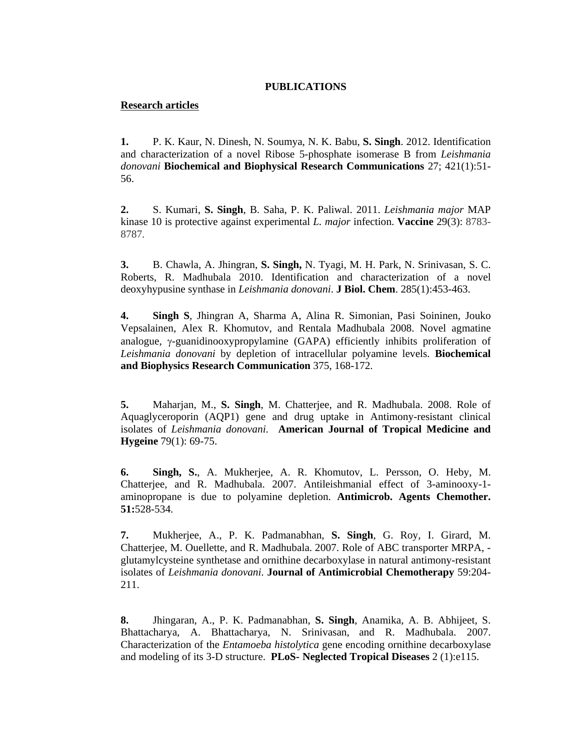## **PUBLICATIONS**

## **Research articles**

**1.** P. K. Kaur, N. Dinesh, N. Soumya, N. K. Babu, **S. Singh**. 2012. Identification and characterization of a novel Ribose 5-phosphate isomerase B from *Leishmania donovani* **Biochemical and Biophysical Research Communications** 27; 421(1):51- 56.

**2.** S. Kumari, **S. Singh**, B. Saha, P. K. Paliwal. 2011. *Leishmania major* MAP kinase 10 is protective against experimental *L. major* infection. **Vaccine** 29(3): 8783- 8787.

**3.** B. Chawla, A. Jhingran, **S. Singh,** N. Tyagi, M. H. Park, N. Srinivasan, S. C. Roberts, R. Madhubala 2010. Identification and characterization of a novel deoxyhypusine synthase in *Leishmania donovani*. **J Biol. Chem**. 285(1):453-463.

**4. Singh S**, Jhingran A, Sharma A, Alina R. Simonian, Pasi Soininen, Jouko Vepsalainen, Alex R. Khomutov, and Rentala Madhubala 2008. Novel agmatine analogue, γ-guanidinooxypropylamine (GAPA) efficiently inhibits proliferation of *Leishmania donovani* by depletion of intracellular polyamine levels. **Biochemical and Biophysics Research Communication** 375, 168-172.

**5.** Maharjan, M., **S. Singh**, M. Chatterjee, and R. Madhubala. 2008. Role of Aquaglyceroporin (AQP1) gene and drug uptake in Antimony-resistant clinical isolates of *Leishmania donovani*. **American Journal of Tropical Medicine and Hygeine** 79(1): 69-75.

**6. Singh, S.**, A. Mukherjee, A. R. Khomutov, L. Persson, O. Heby, M. Chatterjee, and R. Madhubala. 2007. Antileishmanial effect of 3-aminooxy-1 aminopropane is due to polyamine depletion. **Antimicrob. Agents Chemother. 51:**528-534.

**7.** Mukherjee, A., P. K. Padmanabhan, **S. Singh**, G. Roy, I. Girard, M. Chatterjee, M. Ouellette, and R. Madhubala. 2007. Role of ABC transporter MRPA, glutamylcysteine synthetase and ornithine decarboxylase in natural antimony-resistant isolates of *Leishmania donovani*. **Journal of Antimicrobial Chemotherapy** 59:204- 211.

**8.** Jhingaran, A., P. K. Padmanabhan, **S. Singh**, Anamika, A. B. Abhijeet, S. Bhattacharya, A. Bhattacharya, N. Srinivasan, and R. Madhubala. 2007. Characterization of the *Entamoeba histolytica* gene encoding ornithine decarboxylase and modeling of its 3-D structure. **PLoS- Neglected Tropical Diseases** 2 (1):e115.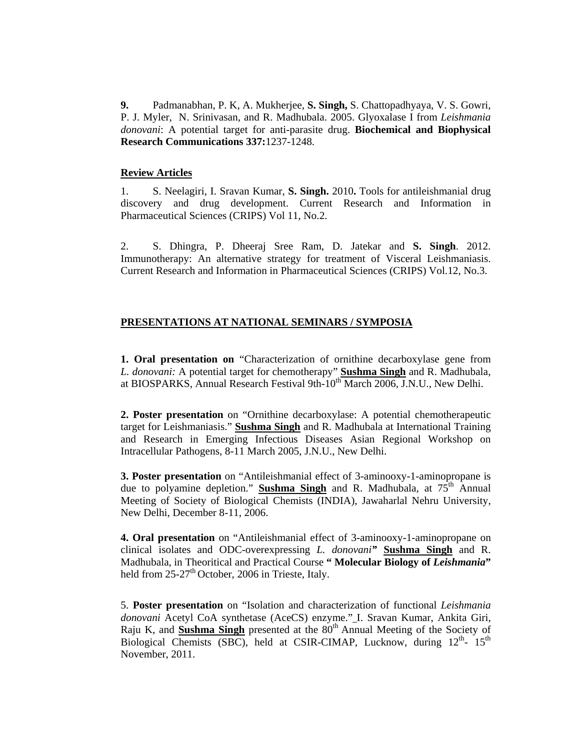**9.** Padmanabhan, P. K, A. Mukherjee, **S. Singh,** S. Chattopadhyaya, V. S. Gowri, P. J. Myler, N. Srinivasan, and R. Madhubala. 2005. Glyoxalase I from *Leishmania donovani*: A potential target for anti-parasite drug. **Biochemical and Biophysical Research Communications 337:**1237-1248.

#### **Review Articles**

1. S. Neelagiri, I. Sravan Kumar, **S. Singh.** 2010**.** Tools for antileishmanial drug discovery and drug development. Current Research and Information in Pharmaceutical Sciences (CRIPS) Vol 11, No.2.

2. S. Dhingra, P. Dheeraj Sree Ram, D. Jatekar and **S. Singh**. 2012. Immunotherapy: An alternative strategy for treatment of Visceral Leishmaniasis. Current Research and Information in Pharmaceutical Sciences (CRIPS) Vol.12, No.3.

# **PRESENTATIONS AT NATIONAL SEMINARS / SYMPOSIA**

**1. Oral presentation on** "Characterization of ornithine decarboxylase gene from *L. donovani:* A potential target for chemotherapy" **Sushma Singh** and R. Madhubala, at BIOSPARKS, Annual Research Festival 9th- $10^{th}$  March 2006, J.N.U., New Delhi.

**2. Poster presentation** on "Ornithine decarboxylase: A potential chemotherapeutic target for Leishmaniasis." **Sushma Singh** and R. Madhubala at International Training and Research in Emerging Infectious Diseases Asian Regional Workshop on Intracellular Pathogens, 8-11 March 2005, J.N.U., New Delhi.

**3. Poster presentation** on "Antileishmanial effect of 3-aminooxy-1-aminopropane is due to polyamine depletion." **Sushma Singh** and R. Madhubala, at 75th Annual Meeting of Society of Biological Chemists (INDIA), Jawaharlal Nehru University, New Delhi, December 8-11, 2006.

**4. Oral presentation** on "Antileishmanial effect of 3-aminooxy-1-aminopropane on clinical isolates and ODC-overexpressing *L. donovani"* **Sushma Singh** and R. Madhubala, in Theoritical and Practical Course **" Molecular Biology of** *Leishmania***"**  held from  $25-27<sup>th</sup>$  October, 2006 in Trieste, Italy.

5. **Poster presentation** on "Isolation and characterization of functional *Leishmania donovani* Acetyl CoA synthetase (AceCS) enzyme." I. Sravan Kumar, Ankita Giri, Raju K, and **Sushma Singh** presented at the 80<sup>th</sup> Annual Meeting of the Society of Biological Chemists (SBC), held at CSIR-CIMAP, Lucknow, during  $12^{th}$ -  $15^{th}$ November, 2011.